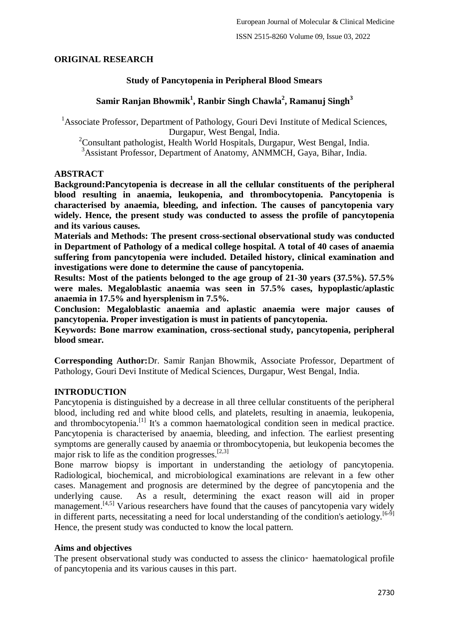## **ORIGINAL RESEARCH**

## **Study of Pancytopenia in Peripheral Blood Smears**

# **Samir Ranjan Bhowmik<sup>1</sup> , Ranbir Singh Chawla<sup>2</sup> , Ramanuj Singh<sup>3</sup>**

<sup>1</sup>Associate Professor, Department of Pathology, Gouri Devi Institute of Medical Sciences, Durgapur, West Bengal, India.

<sup>2</sup>Consultant pathologist, Health World Hospitals, Durgapur, West Bengal, India.

<sup>3</sup>Assistant Professor, Department of Anatomy, ANMMCH, Gaya, Bihar, India.

## **ABSTRACT**

**Background:Pancytopenia is decrease in all the cellular constituents of the peripheral blood resulting in anaemia, leukopenia, and thrombocytopenia. Pancytopenia is characterised by anaemia, bleeding, and infection. The causes of pancytopenia vary widely. Hence, the present study was conducted to assess the profile of pancytopenia and its various causes.**

**Materials and Methods: The present cross-sectional observational study was conducted in Department of Pathology of a medical college hospital. A total of 40 cases of anaemia suffering from pancytopenia were included. Detailed history, clinical examination and investigations were done to determine the cause of pancytopenia.**

**Results: Most of the patients belonged to the age group of 21-30 years (37.5%). 57.5% were males. Megaloblastic anaemia was seen in 57.5% cases, hypoplastic/aplastic anaemia in 17.5% and hyersplenism in 7.5%.**

**Conclusion: Megaloblastic anaemia and aplastic anaemia were major causes of pancytopenia. Proper investigation is must in patients of pancytopenia.**

**Keywords: Bone marrow examination, cross-sectional study, pancytopenia, peripheral blood smear.**

**Corresponding Author:**Dr. Samir Ranjan Bhowmik, Associate Professor, Department of Pathology, Gouri Devi Institute of Medical Sciences, Durgapur, West Bengal, India.

## **INTRODUCTION**

Pancytopenia is distinguished by a decrease in all three cellular constituents of the peripheral blood, including red and white blood cells, and platelets, resulting in anaemia, leukopenia, and thrombocytopenia.[1] It's a common haematological condition seen in medical practice. Pancytopenia is characterised by anaemia, bleeding, and infection. The earliest presenting symptoms are generally caused by anaemia or thrombocytopenia, but leukopenia becomes the major risk to life as the condition progresses. [2,3]

Bone marrow biopsy is important in understanding the aetiology of pancytopenia. Radiological, biochemical, and microbiological examinations are relevant in a few other cases. Management and prognosis are determined by the degree of pancytopenia and the underlying cause. As a result, determining the exact reason will aid in proper management.<sup>[4,5]</sup> Various researchers have found that the causes of pancytopenia vary widely in different parts, necessitating a need for local understanding of the condition's aetiology.<sup>[6-9]</sup> Hence, the present study was conducted to know the local pattern.

## **Aims and objectives**

The present observational study was conducted to assess the clinico– haematological profile of pancytopenia and its various causes in this part.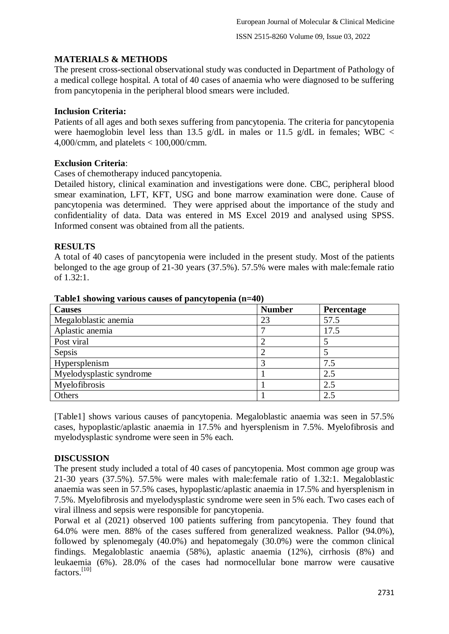# **MATERIALS & METHODS**

The present cross-sectional observational study was conducted in Department of Pathology of a medical college hospital. A total of 40 cases of anaemia who were diagnosed to be suffering from pancytopenia in the peripheral blood smears were included.

### **Inclusion Criteria:**

Patients of all ages and both sexes suffering from pancytopenia. The criteria for pancytopenia were haemoglobin level less than 13.5 g/dL in males or 11.5 g/dL in females; WBC  $\lt$ 4,000/cmm, and platelets < 100,000/cmm.

## **Exclusion Criteria**:

Cases of chemotherapy induced pancytopenia.

Detailed history, clinical examination and investigations were done. CBC, peripheral blood smear examination, LFT, KFT, USG and bone marrow examination were done. Cause of pancytopenia was determined. They were apprised about the importance of the study and confidentiality of data. Data was entered in MS Excel 2019 and analysed using SPSS. Informed consent was obtained from all the patients.

#### **RESULTS**

A total of 40 cases of pancytopenia were included in the present study. Most of the patients belonged to the age group of 21-30 years (37.5%). 57.5% were males with male:female ratio of 1.32:1.

| <b>Causes</b>            | <b>Number</b> | Percentage |
|--------------------------|---------------|------------|
| Megaloblastic anemia     | 23            | 57.5       |
| Aplastic anemia          |               | 17.5       |
| Post viral               |               |            |
| Sepsis                   |               |            |
| Hypersplenism            |               | 7.5        |
| Myelodysplastic syndrome |               | 2.5        |
| Myelofibrosis            |               | 2.5        |
| Others                   |               | 2.5        |

**Table1 showing various causes of pancytopenia (n=40)**

[Table1] shows various causes of pancytopenia. Megaloblastic anaemia was seen in 57.5% cases, hypoplastic/aplastic anaemia in 17.5% and hyersplenism in 7.5%. Myelofibrosis and myelodysplastic syndrome were seen in 5% each.

## **DISCUSSION**

The present study included a total of 40 cases of pancytopenia. Most common age group was 21-30 years (37.5%). 57.5% were males with male:female ratio of 1.32:1. Megaloblastic anaemia was seen in 57.5% cases, hypoplastic/aplastic anaemia in 17.5% and hyersplenism in 7.5%. Myelofibrosis and myelodysplastic syndrome were seen in 5% each. Two cases each of viral illness and sepsis were responsible for pancytopenia.

Porwal et al (2021) observed 100 patients suffering from pancytopenia. They found that 64.0% were men. 88% of the cases suffered from generalized weakness. Pallor (94.0%), followed by splenomegaly (40.0%) and hepatomegaly (30.0%) were the common clinical findings. Megaloblastic anaemia (58%), aplastic anaemia (12%), cirrhosis (8%) and leukaemia (6%). 28.0% of the cases had normocellular bone marrow were causative factors.[10]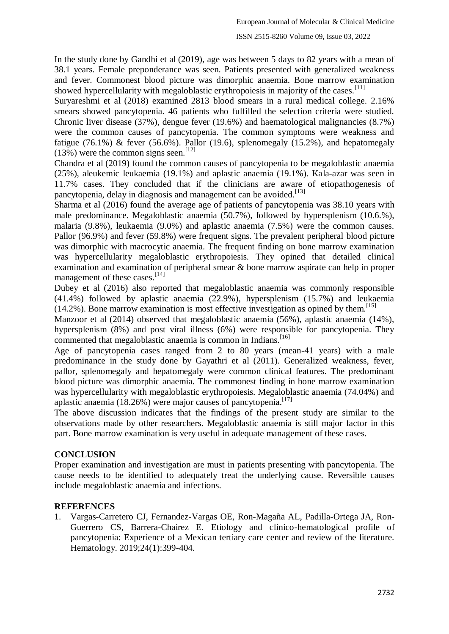### In the study done by Gandhi et al (2019), age was between 5 days to 82 years with a mean of 38.1 years. Female preponderance was seen. Patients presented with generalized weakness and fever. Commonest blood picture was dimorphic anaemia. Bone marrow examination showed hypercellularity with megaloblastic erythropoiesis in majority of the cases.<sup>[11]</sup>

Suryareshmi et al (2018) examined 2813 blood smears in a rural medical college. 2.16% smears showed pancytopenia. 46 patients who fulfilled the selection criteria were studied. Chronic liver disease (37%), dengue fever (19.6%) and haematological malignancies (8.7%) were the common causes of pancytopenia. The common symptoms were weakness and fatigue (76.1%) & fever (56.6%). Pallor (19.6), splenomegaly (15.2%), and hepatomegaly  $(13%)$  were the common signs seen.<sup>[12]</sup>

Chandra et al (2019) found the common causes of pancytopenia to be megaloblastic anaemia (25%), aleukemic leukaemia (19.1%) and aplastic anaemia (19.1%). Kala-azar was seen in 11.7% cases. They concluded that if the clinicians are aware of etiopathogenesis of pancytopenia, delay in diagnosis and management can be avoided.<sup>[13]</sup>

Sharma et al (2016) found the average age of patients of pancytopenia was 38.10 years with male predominance. Megaloblastic anaemia (50.7%), followed by hypersplenism (10.6.%), malaria (9.8%), leukaemia (9.0%) and aplastic anaemia (7.5%) were the common causes. Pallor (96.9%) and fever (59.8%) were frequent signs. The prevalent peripheral blood picture was dimorphic with macrocytic anaemia. The frequent finding on bone marrow examination was hypercellularity megaloblastic erythropoiesis. They opined that detailed clinical examination and examination of peripheral smear & bone marrow aspirate can help in proper management of these cases.<sup>[14]</sup>

Dubey et al (2016) also reported that megaloblastic anaemia was commonly responsible (41.4%) followed by aplastic anaemia (22.9%), hypersplenism (15.7%) and leukaemia  $(14.2\%)$ . Bone marrow examination is most effective investigation as opined by them.<sup>[15]</sup>

Manzoor et al (2014) observed that megaloblastic anaemia (56%), aplastic anaemia (14%), hypersplenism (8%) and post viral illness (6%) were responsible for pancytopenia. They commented that megaloblastic anaemia is common in Indians.<sup>[16]</sup>

Age of pancytopenia cases ranged from 2 to 80 years (mean-41 years) with a male predominance in the study done by Gayathri et al (2011). Generalized weakness, fever, pallor, splenomegaly and hepatomegaly were common clinical features. The predominant blood picture was dimorphic anaemia. The commonest finding in bone marrow examination was hypercellularity with megaloblastic erythropoiesis. Megaloblastic anaemia (74.04%) and aplastic anaemia (18.26%) were major causes of pancytopenia.<sup>[17]</sup>

The above discussion indicates that the findings of the present study are similar to the observations made by other researchers. Megaloblastic anaemia is still major factor in this part. Bone marrow examination is very useful in adequate management of these cases.

## **CONCLUSION**

Proper examination and investigation are must in patients presenting with pancytopenia. The cause needs to be identified to adequately treat the underlying cause. Reversible causes include megaloblastic anaemia and infections.

## **REFERENCES**

1. Vargas-Carretero CJ, Fernandez-Vargas OE, Ron-Magaña AL, Padilla-Ortega JA, Ron-Guerrero CS, Barrera-Chairez E. Etiology and clinico-hematological profile of pancytopenia: Experience of a Mexican tertiary care center and review of the literature. Hematology. 2019;24(1):399-404.